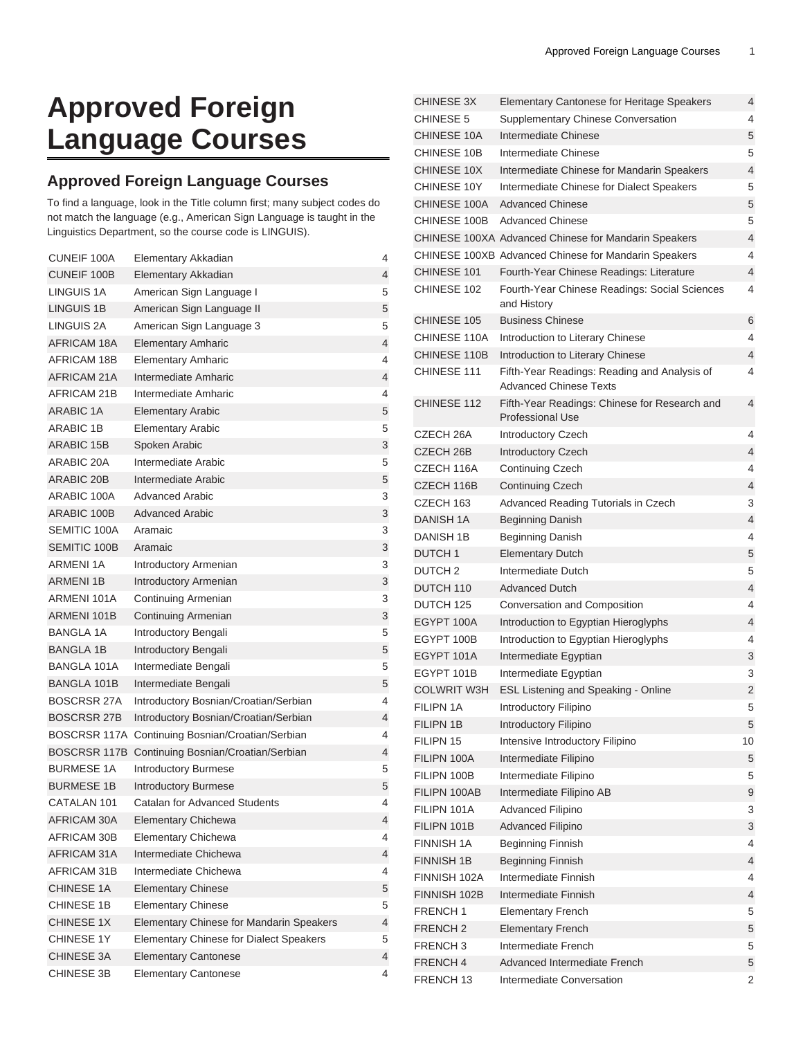## **Approved Foreign Language Courses**

## **Approved Foreign Language Courses**

To find a language, look in the Title column first; many subject codes do not match the language (e.g., American Sign Language is taught in the Linguistics Department, so the course code is LINGUIS).

| <b>CUNEIF 100A</b>  | Elementary Akkadian                      | 4              |
|---------------------|------------------------------------------|----------------|
| <b>CUNEIF 100B</b>  | Elementary Akkadian                      | 4              |
| LINGUIS 1A          | American Sign Language I                 | 5              |
| <b>LINGUIS 1B</b>   | American Sign Language II                | 5              |
| LINGUIS 2A          | American Sign Language 3                 | 5              |
| AFRICAM 18A         | <b>Elementary Amharic</b>                | $\overline{4}$ |
| AFRICAM 18B         | <b>Elementary Amharic</b>                | 4              |
| AFRICAM 21A         | Intermediate Amharic                     | 4              |
| AFRICAM 21B         | Intermediate Amharic                     | 4              |
| <b>ARABIC 1A</b>    | <b>Elementary Arabic</b>                 | 5              |
| <b>ARABIC 1B</b>    | <b>Elementary Arabic</b>                 | 5              |
| <b>ARABIC 15B</b>   | Spoken Arabic                            | 3              |
| ARABIC 20A          | Intermediate Arabic                      | 5              |
| <b>ARABIC 20B</b>   | Intermediate Arabic                      | 5              |
| ARABIC 100A         | Advanced Arabic                          | 3              |
| ARABIC 100B         | <b>Advanced Arabic</b>                   | 3              |
| SEMITIC 100A        | Aramaic                                  | 3              |
| <b>SEMITIC 100B</b> | Aramaic                                  | 3              |
| <b>ARMENI 1A</b>    | Introductory Armenian                    | 3              |
| <b>ARMENI 1B</b>    | <b>Introductory Armenian</b>             | 3              |
| ARMENI 101A         | Continuing Armenian                      | 3              |
| ARMENI 101B         | <b>Continuing Armenian</b>               | 3              |
| <b>BANGLA 1A</b>    | Introductory Bengali                     | 5              |
| <b>BANGLA 1B</b>    | Introductory Bengali                     | 5              |
| <b>BANGLA 101A</b>  | Intermediate Bengali                     | 5              |
| <b>BANGLA 101B</b>  | Intermediate Bengali                     | 5              |
| <b>BOSCRSR 27A</b>  | Introductory Bosnian/Croatian/Serbian    | 4              |
| <b>BOSCRSR 27B</b>  | Introductory Bosnian/Croatian/Serbian    | 4              |
| BOSCRSR 117A        | Continuing Bosnian/Croatian/Serbian      | 4              |
| BOSCRSR 117B        | Continuing Bosnian/Croatian/Serbian      | $\overline{4}$ |
| <b>BURMESE 1A</b>   | Introductory Burmese                     | 5              |
| <b>BURMESE 1B</b>   | <b>Introductory Burmese</b>              | 5              |
| CATALAN 101         | Catalan for Advanced Students            | 4              |
| AFRICAM 30A         | <b>Elementary Chichewa</b>               | 4              |
| AFRICAM 30B         | Elementary Chichewa                      | 4              |
| AFRICAM 31A         | Intermediate Chichewa                    | 4              |
| AFRICAM 31B         | Intermediate Chichewa                    | 4              |
| <b>CHINESE 1A</b>   | <b>Elementary Chinese</b>                | 5              |
| CHINESE 1B          | <b>Elementary Chinese</b>                | 5              |
| CHINESE 1X          | Elementary Chinese for Mandarin Speakers | 4              |
| CHINESE 1Y          | Elementary Chinese for Dialect Speakers  | 5              |
| CHINESE 3A          | <b>Elementary Cantonese</b>              | 4              |
| CHINESE 3B          | <b>Elementary Cantonese</b>              | 4              |

| <b>CHINESE 3X</b>   | Elementary Cantonese for Heritage Speakers                                    | 4  |
|---------------------|-------------------------------------------------------------------------------|----|
| <b>CHINESE 5</b>    | Supplementary Chinese Conversation                                            | 4  |
| <b>CHINESE 10A</b>  | Intermediate Chinese                                                          | 5  |
| CHINESE 10B         | Intermediate Chinese                                                          | 5  |
| CHINESE 10X         | Intermediate Chinese for Mandarin Speakers                                    | 4  |
| CHINESE 10Y         | Intermediate Chinese for Dialect Speakers                                     | 5  |
| CHINESE 100A        | <b>Advanced Chinese</b>                                                       | 5  |
| CHINESE 100B        | <b>Advanced Chinese</b>                                                       | 5  |
|                     | CHINESE 100XA Advanced Chinese for Mandarin Speakers                          | 4  |
|                     | CHINESE 100XB Advanced Chinese for Mandarin Speakers                          | 4  |
| CHINESE 101         | Fourth-Year Chinese Readings: Literature                                      | 4  |
| CHINESE 102         | Fourth-Year Chinese Readings: Social Sciences<br>and History                  | 4  |
| <b>CHINESE 105</b>  | <b>Business Chinese</b>                                                       | 6  |
| CHINESE 110A        | Introduction to Literary Chinese                                              | 4  |
| CHINESE 110B        | Introduction to Literary Chinese                                              | 4  |
| CHINESE 111         | Fifth-Year Readings: Reading and Analysis of<br><b>Advanced Chinese Texts</b> | 4  |
| CHINESE 112         | Fifth-Year Readings: Chinese for Research and<br><b>Professional Use</b>      | 4  |
| CZECH 26A           | <b>Introductory Czech</b>                                                     | 4  |
| CZECH 26B           | <b>Introductory Czech</b>                                                     | 4  |
| CZECH 116A          | <b>Continuing Czech</b>                                                       | 4  |
| CZECH 116B          | <b>Continuing Czech</b>                                                       | 4  |
| CZECH 163           | Advanced Reading Tutorials in Czech                                           | 3  |
| DANISH 1A           | Beginning Danish                                                              | 4  |
| DANISH 1B           | <b>Beginning Danish</b>                                                       | 4  |
| <b>DUTCH1</b>       | <b>Elementary Dutch</b>                                                       | 5  |
| DUTCH <sub>2</sub>  | Intermediate Dutch                                                            | 5  |
| DUTCH 110           | <b>Advanced Dutch</b>                                                         | 4  |
| DUTCH 125           | Conversation and Composition                                                  | 4  |
| EGYPT 100A          | Introduction to Egyptian Hieroglyphs                                          | 4  |
| EGYPT 100B          | Introduction to Egyptian Hieroglyphs                                          | 4  |
| EGYPT 101A          | Intermediate Egyptian                                                         | 3  |
| EGYPT 101B          | Intermediate Egyptian                                                         | 3  |
| <b>COLWRIT W3H</b>  | ESL Listening and Speaking - Online                                           | 2  |
| FILIPN 1A           | Introductory Filipino                                                         | 5  |
| <b>FILIPN 1B</b>    | Introductory Filipino                                                         | 5  |
| FILIPN 15           | Intensive Introductory Filipino                                               | 10 |
| FILIPN 100A         | Intermediate Filipino                                                         | 5  |
| FILIPN 100B         | Intermediate Filipino                                                         | 5  |
| FILIPN 100AB        | Intermediate Filipino AB                                                      | 9  |
| FILIPN 101A         | Advanced Filipino                                                             | 3  |
| FILIPN 101B         | <b>Advanced Filipino</b>                                                      | 3  |
| FINNISH 1A          | Beginning Finnish                                                             | 4  |
| <b>FINNISH 1B</b>   | <b>Beginning Finnish</b>                                                      | 4  |
| FINNISH 102A        | Intermediate Finnish                                                          | 4  |
| FINNISH 102B        | Intermediate Finnish                                                          | 4  |
| FRENCH <sub>1</sub> | <b>Elementary French</b>                                                      | 5  |
| FRENCH <sub>2</sub> | <b>Elementary French</b>                                                      | 5  |
| FRENCH <sub>3</sub> | Intermediate French                                                           | 5  |
| FRENCH <sub>4</sub> | <b>Advanced Intermediate French</b>                                           | 5  |
| FRENCH 13           | Intermediate Conversation                                                     | 2  |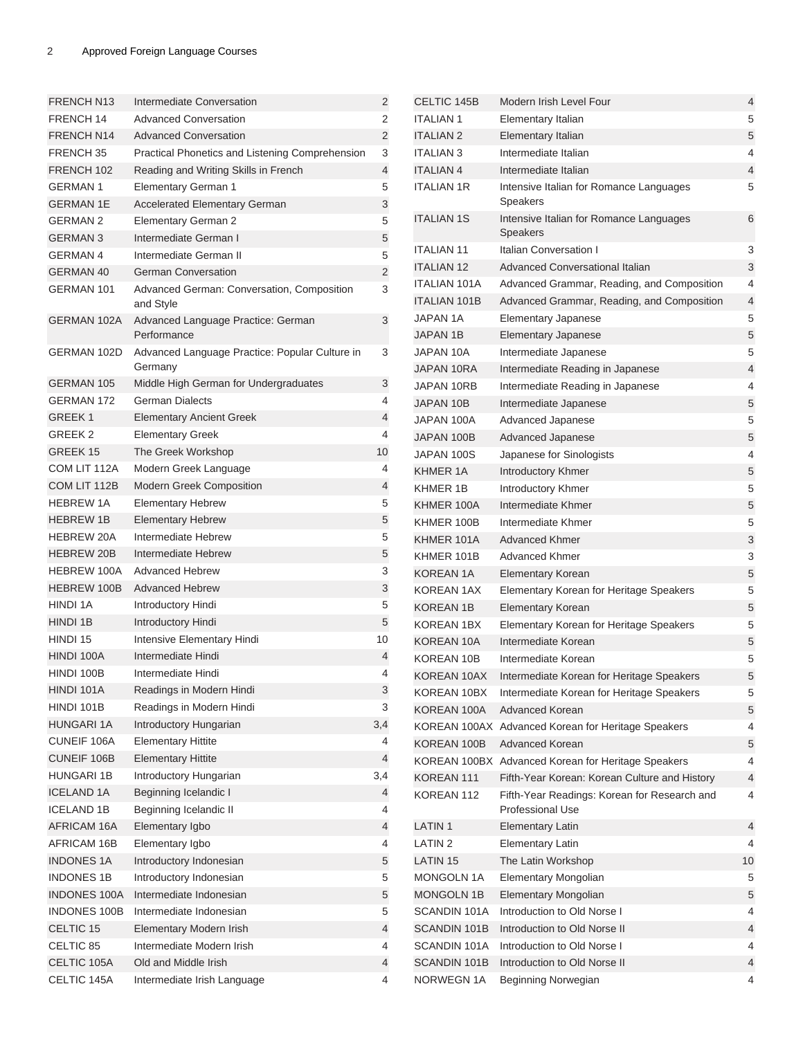| <b>FRENCH N13</b>    | Intermediate Conversation                                 | 2      |
|----------------------|-----------------------------------------------------------|--------|
| FRENCH 14            | <b>Advanced Conversation</b>                              | 2      |
| <b>FRENCH N14</b>    | <b>Advanced Conversation</b>                              | 2      |
| FRENCH <sub>35</sub> | Practical Phonetics and Listening Comprehension           | 3      |
| FRENCH 102           | Reading and Writing Skills in French                      | 4      |
| <b>GERMAN1</b>       | <b>Elementary German 1</b>                                | 5      |
| <b>GERMAN 1E</b>     | <b>Accelerated Elementary German</b>                      | 3      |
| <b>GERMAN 2</b>      | Elementary German 2                                       | 5      |
| <b>GERMAN 3</b>      | Intermediate German I                                     | 5      |
| <b>GERMAN4</b>       | Intermediate German II                                    |        |
| <b>GERMAN 40</b>     | <b>German Conversation</b>                                | 5<br>2 |
| <b>GERMAN 101</b>    |                                                           |        |
|                      | Advanced German: Conversation, Composition<br>and Style   | 3      |
| <b>GERMAN 102A</b>   | Advanced Language Practice: German<br>Performance         | 3      |
| GERMAN 102D          | Advanced Language Practice: Popular Culture in<br>Germany | 3      |
| <b>GERMAN 105</b>    | Middle High German for Undergraduates                     | 3      |
| <b>GERMAN 172</b>    | <b>German Dialects</b>                                    | 4      |
| <b>GREEK1</b>        | <b>Elementary Ancient Greek</b>                           | 4      |
| GREEK 2              | <b>Elementary Greek</b>                                   | 4      |
| GREEK 15             | The Greek Workshop                                        | 10     |
| COM LIT 112A         | Modern Greek Language                                     | 4      |
| COM LIT 112B         | <b>Modern Greek Composition</b>                           | 4      |
| <b>HEBREW 1A</b>     | <b>Elementary Hebrew</b>                                  | 5      |
| <b>HEBREW 1B</b>     | <b>Elementary Hebrew</b>                                  | 5      |
| <b>HEBREW 20A</b>    | Intermediate Hebrew                                       | 5      |
| <b>HEBREW 20B</b>    | Intermediate Hebrew                                       | 5      |
| <b>HEBREW 100A</b>   | <b>Advanced Hebrew</b>                                    | 3      |
| <b>HEBREW 100B</b>   | <b>Advanced Hebrew</b>                                    | 3      |
| <b>HINDI 1A</b>      | Introductory Hindi                                        | 5      |
| <b>HINDI 1B</b>      | Introductory Hindi                                        | 5      |
| HINDI 15             | Intensive Elementary Hindi                                | 10     |
| HINDI 100A           | Intermediate Hindi                                        | 4      |
| HINDI 100B           | Intermediate Hindi                                        | 4      |
| HINDI 101A           | Readings in Modern Hindi                                  | 3      |
| HINDI 101B           | Readings in Modern Hindi                                  | 3      |
| <b>HUNGARI 1A</b>    | Introductory Hungarian                                    | 3,4    |
| CUNEIF 106A          | <b>Elementary Hittite</b>                                 | 4      |
| <b>CUNEIF 106B</b>   | <b>Elementary Hittite</b>                                 | 4      |
| <b>HUNGARI 1B</b>    | Introductory Hungarian                                    | 3,4    |
| <b>ICELAND 1A</b>    | Beginning Icelandic I                                     | 4      |
| <b>ICELAND 1B</b>    | Beginning Icelandic II                                    | 4      |
| AFRICAM 16A          | Elementary Igbo                                           | 4      |
| AFRICAM 16B          | Elementary Igbo                                           | 4      |
| <b>INDONES 1A</b>    | Introductory Indonesian                                   | 5      |
| <b>INDONES 1B</b>    | Introductory Indonesian                                   | 5      |
| <b>INDONES 100A</b>  | Intermediate Indonesian                                   | 5      |
| <b>INDONES 100B</b>  | Intermediate Indonesian                                   | 5      |
| CELTIC 15            | Elementary Modern Irish                                   | 4      |
| CELTIC 85            | Intermediate Modern Irish                                 | 4      |
| CELTIC 105A          | Old and Middle Irish                                      | 4      |
| CELTIC 145A          | Intermediate Irish Language                               | 4      |
|                      |                                                           |        |

| CELTIC 145B         | Modern Irish Level Four                                                 | 4  |
|---------------------|-------------------------------------------------------------------------|----|
| <b>ITALIAN1</b>     | Elementary Italian                                                      | 5  |
| <b>ITALIAN 2</b>    | Elementary Italian                                                      | 5  |
| <b>ITALIAN 3</b>    | Intermediate Italian                                                    | 4  |
| <b>ITALIAN 4</b>    | Intermediate Italian                                                    | 4  |
| <b>ITALIAN 1R</b>   | Intensive Italian for Romance Languages<br>Speakers                     | 5  |
| <b>ITALIAN 1S</b>   | Intensive Italian for Romance Languages<br>Speakers                     | 6  |
| <b>ITALIAN 11</b>   | Italian Conversation I                                                  | 3  |
| <b>ITALIAN 12</b>   | <b>Advanced Conversational Italian</b>                                  | 3  |
| <b>ITALIAN 101A</b> | Advanced Grammar, Reading, and Composition                              | 4  |
| <b>ITALIAN 101B</b> | Advanced Grammar, Reading, and Composition                              | 4  |
| JAPAN 1A            | Elementary Japanese                                                     | 5  |
| <b>JAPAN 1B</b>     | <b>Elementary Japanese</b>                                              | 5  |
| JAPAN 10A           | Intermediate Japanese                                                   | 5  |
| <b>JAPAN 10RA</b>   | Intermediate Reading in Japanese                                        | 4  |
| JAPAN 10RB          | Intermediate Reading in Japanese                                        | 4  |
| JAPAN 10B           | Intermediate Japanese                                                   | 5  |
| JAPAN 100A          | Advanced Japanese                                                       | 5  |
| JAPAN 100B          | Advanced Japanese                                                       | 5  |
| JAPAN 100S          | Japanese for Sinologists                                                | 4  |
| KHMER 1A            | Introductory Khmer                                                      | 5  |
| KHMER 1B            | Introductory Khmer                                                      | 5  |
| KHMER 100A          | Intermediate Khmer                                                      | 5  |
| KHMER 100B          | Intermediate Khmer                                                      | 5  |
| KHMER 101A          | <b>Advanced Khmer</b>                                                   | 3  |
| KHMER 101B          | <b>Advanced Khmer</b>                                                   | 3  |
| KOREAN 1A           | <b>Elementary Korean</b>                                                | 5  |
| KOREAN 1AX          | Elementary Korean for Heritage Speakers                                 | 5  |
| <b>KOREAN 1B</b>    | Elementary Korean                                                       | 5  |
| <b>KOREAN 1BX</b>   | Elementary Korean for Heritage Speakers                                 | 5  |
| KOREAN 10A          | Intermediate Korean                                                     | 5  |
| <b>KOREAN 10B</b>   | Intermediate Korean                                                     | 5  |
| KOREAN 10AX         | Intermediate Korean for Heritage Speakers                               | 5  |
| KOREAN 10BX         | Intermediate Korean for Heritage Speakers                               | 5  |
| KOREAN 100A         | <b>Advanced Korean</b>                                                  | 5  |
| KOREAN 100AX        | Advanced Korean for Heritage Speakers                                   | 4  |
| KOREAN 100B         | <b>Advanced Korean</b>                                                  | 5  |
|                     | KOREAN 100BX Advanced Korean for Heritage Speakers                      | 4  |
| KOREAN 111          | Fifth-Year Korean: Korean Culture and History                           | 4  |
| KOREAN 112          | Fifth-Year Readings: Korean for Research and<br><b>Professional Use</b> | 4  |
| LATIN <sub>1</sub>  | <b>Elementary Latin</b>                                                 | 4  |
| <b>LATIN2</b>       | <b>Elementary Latin</b>                                                 | 4  |
| LATIN 15            | The Latin Workshop                                                      | 10 |
| MONGOLN 1A          | Elementary Mongolian                                                    | 5  |
| <b>MONGOLN 1B</b>   | Elementary Mongolian                                                    | 5  |
| SCANDIN 101A        | Introduction to Old Norse I                                             | 4  |
| <b>SCANDIN 101B</b> | Introduction to Old Norse II                                            | 4  |
| SCANDIN 101A        | Introduction to Old Norse I                                             | 4  |
| <b>SCANDIN 101B</b> | Introduction to Old Norse II                                            | 4  |
| NORWEGN 1A          | Beginning Norwegian                                                     | 4  |
|                     |                                                                         |    |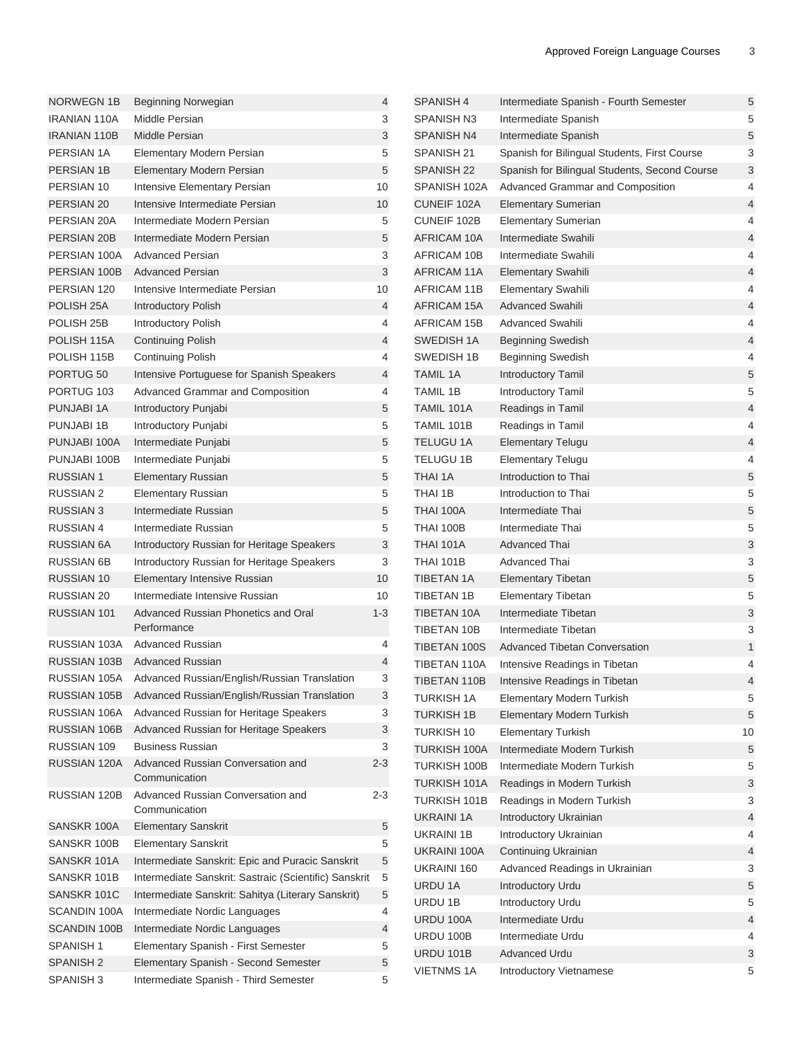| <b>NORWEGN 1B</b>     | Beginning Norwegian                                       | 4       | SPANISH 4           | Intermediate Spanish - Fourth Semester        | 5  |
|-----------------------|-----------------------------------------------------------|---------|---------------------|-----------------------------------------------|----|
| <b>IRANIAN 110A</b>   | Middle Persian                                            | 3       | <b>SPANISH N3</b>   | Intermediate Spanish                          | 5  |
| <b>IRANIAN 110B</b>   | Middle Persian                                            | 3       | <b>SPANISH N4</b>   | Intermediate Spanish                          | 5  |
| PERSIAN 1A            | Elementary Modern Persian                                 | 5       | SPANISH 21          | Spanish for Bilingual Students, First Course  | 3  |
| PERSIAN 1B            | Elementary Modern Persian                                 | 5       | SPANISH 22          | Spanish for Bilingual Students, Second Course | 3  |
| PERSIAN 10            | Intensive Elementary Persian                              | 10      | SPANISH 102A        | Advanced Grammar and Composition              | 4  |
| PERSIAN 20            | Intensive Intermediate Persian                            | 10      | CUNEIF 102A         | <b>Elementary Sumerian</b>                    | 4  |
| PERSIAN 20A           | Intermediate Modern Persian                               | 5       | CUNEIF 102B         | <b>Elementary Sumerian</b>                    | 4  |
| PERSIAN 20B           | Intermediate Modern Persian                               | 5       | <b>AFRICAM 10A</b>  | Intermediate Swahili                          | 4  |
| PERSIAN 100A          | <b>Advanced Persian</b>                                   | 3       | AFRICAM 10B         | Intermediate Swahili                          | 4  |
| PERSIAN 100B          | <b>Advanced Persian</b>                                   | 3       | AFRICAM 11A         | <b>Elementary Swahili</b>                     | 4  |
| PERSIAN 120           | Intensive Intermediate Persian                            | 10      | AFRICAM 11B         | <b>Elementary Swahili</b>                     | 4  |
| POLISH <sub>25A</sub> | <b>Introductory Polish</b>                                | 4       | <b>AFRICAM 15A</b>  | <b>Advanced Swahili</b>                       | 4  |
| POLISH 25B            | Introductory Polish                                       | 4       | AFRICAM 15B         | <b>Advanced Swahili</b>                       | 4  |
| POLISH 115A           | <b>Continuing Polish</b>                                  | 4       | SWEDISH 1A          | <b>Beginning Swedish</b>                      | 4  |
| POLISH 115B           | <b>Continuing Polish</b>                                  | 4       | SWEDISH 1B          | <b>Beginning Swedish</b>                      | 4  |
| PORTUG <sub>50</sub>  |                                                           | 4       | <b>TAMIL 1A</b>     |                                               | 5  |
|                       | Intensive Portuguese for Spanish Speakers                 |         |                     | Introductory Tamil                            |    |
| PORTUG <sub>103</sub> | Advanced Grammar and Composition                          | 4       | TAMIL 1B            | Introductory Tamil                            | 5  |
| PUNJABI 1A            | Introductory Punjabi                                      | 5       | TAMIL 101A          | Readings in Tamil                             | 4  |
| PUNJABI 1B            | Introductory Punjabi                                      | 5       | TAMIL 101B          | Readings in Tamil                             | 4  |
| PUNJABI 100A          | Intermediate Punjabi                                      | 5       | <b>TELUGU 1A</b>    | <b>Elementary Telugu</b>                      | 4  |
| PUNJABI 100B          | Intermediate Punjabi                                      | 5       | TELUGU 1B           | <b>Elementary Telugu</b>                      | 4  |
| <b>RUSSIAN1</b>       | <b>Elementary Russian</b>                                 | 5       | <b>THAI 1A</b>      | Introduction to Thai                          | 5  |
| <b>RUSSIAN 2</b>      | <b>Elementary Russian</b>                                 | 5       | THAI 1B             | Introduction to Thai                          | 5  |
| <b>RUSSIAN 3</b>      | Intermediate Russian                                      | 5       | <b>THAI 100A</b>    | Intermediate Thai                             | 5  |
| <b>RUSSIAN 4</b>      | Intermediate Russian                                      | 5       | <b>THAI 100B</b>    | Intermediate Thai                             | 5  |
| <b>RUSSIAN 6A</b>     | Introductory Russian for Heritage Speakers                | 3       | <b>THAI 101A</b>    | <b>Advanced Thai</b>                          | 3  |
| <b>RUSSIAN 6B</b>     | Introductory Russian for Heritage Speakers                | 3       | <b>THAI 101B</b>    | Advanced Thai                                 | 3  |
| <b>RUSSIAN 10</b>     | Elementary Intensive Russian                              | 10      | <b>TIBETAN 1A</b>   | <b>Elementary Tibetan</b>                     | 5  |
| <b>RUSSIAN 20</b>     | Intermediate Intensive Russian                            | 10      | TIBETAN 1B          | <b>Elementary Tibetan</b>                     | 5  |
| RUSSIAN 101           | Advanced Russian Phonetics and Oral                       | $1 - 3$ | <b>TIBETAN 10A</b>  | Intermediate Tibetan                          | 3  |
|                       | Performance                                               |         | TIBETAN 10B         | Intermediate Tibetan                          | 3  |
| RUSSIAN 103A          | <b>Advanced Russian</b>                                   | 4       | TIBETAN 100S        | Advanced Tibetan Conversation                 | 1  |
| RUSSIAN 103B          | <b>Advanced Russian</b>                                   | 4       | TIBETAN 110A        | Intensive Readings in Tibetan                 | 4  |
|                       | RUSSIAN 105A Advanced Russian/English/Russian Translation | 3       | TIBETAN 110B        | Intensive Readings in Tibetan                 |    |
|                       | RUSSIAN 105B Advanced Russian/English/Russian Translation | 3       | TURKISH 1A          | <b>Elementary Modern Turkish</b>              | 5  |
|                       | RUSSIAN 106A Advanced Russian for Heritage Speakers       | 3       | <b>TURKISH 1B</b>   | Elementary Modern Turkish                     | 5  |
| RUSSIAN 106B          | Advanced Russian for Heritage Speakers                    | 3       | TURKISH 10          | <b>Elementary Turkish</b>                     | 10 |
| RUSSIAN 109           | <b>Business Russian</b>                                   | 3       | <b>TURKISH 100A</b> | Intermediate Modern Turkish                   | 5  |
| RUSSIAN 120A          | Advanced Russian Conversation and                         | $2 - 3$ | TURKISH 100B        | Intermediate Modern Turkish                   | 5  |
|                       | Communication                                             |         | TURKISH 101A        | Readings in Modern Turkish                    | 3  |
| RUSSIAN 120B          | Advanced Russian Conversation and                         | $2 - 3$ | TURKISH 101B        | Readings in Modern Turkish                    | 3  |
|                       | Communication                                             |         | <b>UKRAINI 1A</b>   | Introductory Ukrainian                        | 4  |
| SANSKR 100A           | <b>Elementary Sanskrit</b>                                | 5       | <b>UKRAINI 1B</b>   | Introductory Ukrainian                        | 4  |
| SANSKR 100B           | <b>Elementary Sanskrit</b>                                | 5       | UKRAINI 100A        | Continuing Ukrainian                          | 4  |
| SANSKR 101A           | Intermediate Sanskrit: Epic and Puracic Sanskrit          | 5       | UKRAINI 160         | Advanced Readings in Ukrainian                | 3  |
| SANSKR 101B           | Intermediate Sanskrit: Sastraic (Scientific) Sanskrit     | 5       | URDU 1A             | Introductory Urdu                             | 5  |
| SANSKR 101C           | Intermediate Sanskrit: Sahitya (Literary Sanskrit)        | 5       | URDU 1B             | Introductory Urdu                             | 5  |
| SCANDIN 100A          | Intermediate Nordic Languages                             | 4       | URDU 100A           | Intermediate Urdu                             | 4  |
| SCANDIN 100B          | Intermediate Nordic Languages                             | 4       | URDU 100B           | Intermediate Urdu                             | 4  |
| SPANISH <sub>1</sub>  | Elementary Spanish - First Semester                       | 5       | <b>URDU 101B</b>    | <b>Advanced Urdu</b>                          | 3  |
| <b>SPANISH 2</b>      | Elementary Spanish - Second Semester                      | 5       | <b>VIETNMS 1A</b>   | Introductory Vietnamese                       | 5  |
| SPANISH <sub>3</sub>  | Intermediate Spanish - Third Semester                     | 5       |                     |                                               |    |